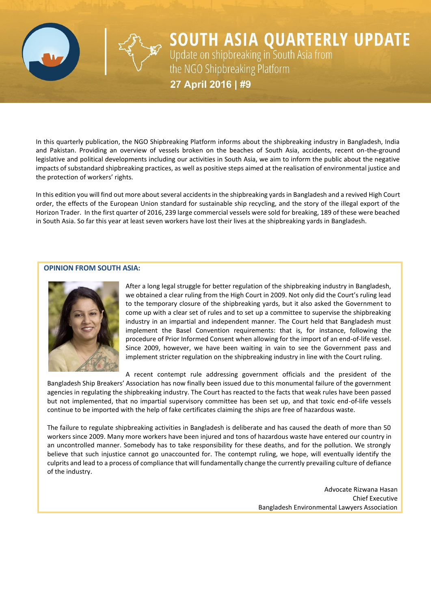

**SOUTH ASIA QUARTERLY UPDATE**<br>Update on shipbreaking in South Asia from<br>the NGO Shipbreaking Platform

27 April 2016 | #9

In this quarterly publication, the NGO Shipbreaking Platform informs about the shipbreaking industry in Bangladesh, India and Pakistan. Providing an overview of vessels broken on the beaches of South Asia, accidents, recent on-the-ground legislative and political developments including our activities in South Asia, we aim to inform the public about the negative impacts of substandard shipbreaking practices, as well as positive steps aimed at the realisation of environmental justice and the protection of workers' rights.

In this edition you will find out more about several accidents in the shipbreaking yards in Bangladesh and a revived High Court order, the effects of the European Union standard for sustainable ship recycling, and the story of the illegal export of the Horizon Trader. In the first quarter of 2016, 239 large commercial vessels were sold for breaking, 189 of these were beached in South Asia. So far this year at least seven workers have lost their lives at the shipbreaking yards in Bangladesh.

#### **OPINION FROM SOUTH ASIA:**



After a long legal struggle for better regulation of the shipbreaking industry in Bangladesh, we obtained a clear ruling from the High Court in 2009. Not only did the Court's ruling lead to the temporary closure of the shipbreaking yards, but it also asked the Government to come up with a clear set of rules and to set up a committee to supervise the shipbreaking industry in an impartial and independent manner. The Court held that Bangladesh must implement the Basel Convention requirements: that is, for instance, following the procedure of Prior Informed Consent when allowing for the import of an end-of-life vessel. Since 2009, however, we have been waiting in vain to see the Government pass and implement stricter regulation on the shipbreaking industry in line with the Court ruling.

A recent contempt rule addressing government officials and the president of the Bangladesh Ship Breakers' Association has now finally been issued due to this monumental failure of the government agencies in regulating the shipbreaking industry. The Court has reacted to the facts that weak rules have been passed but not implemented, that no impartial supervisory committee has been set up, and that toxic end-of-life vessels continue to be imported with the help of fake certificates claiming the ships are free of hazardous waste.

The failure to regulate shipbreaking activities in Bangladesh is deliberate and has caused the death of more than 50 workers since 2009. Many more workers have been injured and tons of hazardous waste have entered our country in an uncontrolled manner. Somebody has to take responsibility for these deaths, and for the pollution. We strongly believe that such injustice cannot go unaccounted for. The contempt ruling, we hope, will eventually identify the culprits and lead to a process of compliance that will fundamentally change the currently prevailing culture of defiance of the industry.

> Advocate Rizwana Hasan Chief Executive Bangladesh Environmental Lawyers Association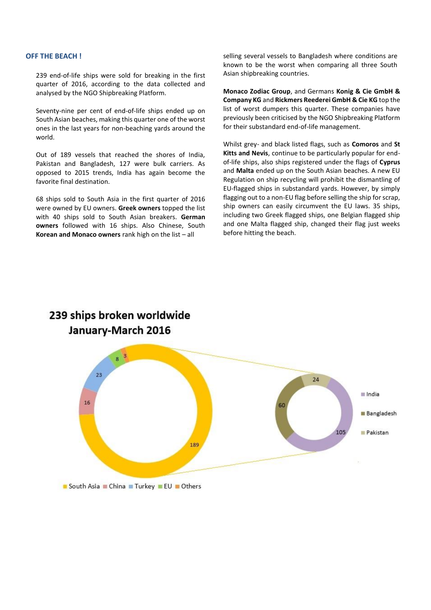#### **OFF THE BEACH !**

239 end-of-life ships were sold for breaking in the first quarter of 2016, according to the data collected and analysed by the NGO Shipbreaking Platform.

Seventy-nine per cent of end-of-life ships ended up on South Asian beaches, making this quarter one of the worst ones in the last years for non-beaching yards around the world.

Out of 189 vessels that reached the shores of India, Pakistan and Bangladesh, 127 were bulk carriers. As opposed to 2015 trends, India has again become the favorite final destination.

68 ships sold to South Asia in the first quarter of 2016 were owned by EU owners. **Greek owners** topped the list with 40 ships sold to South Asian breakers. **German owners** followed with 16 ships. Also Chinese, South **Korean and Monaco owners** rank high on the list – all

239 ships broken worldwide

selling several vessels to Bangladesh where conditions are known to be the worst when comparing all three South Asian shipbreaking countries.

**Monaco Zodiac Group**, and Germans **Konig & Cie GmbH & Company KG** and **Rickmers Reederei GmbH & Cie KG** top the list of worst dumpers this quarter. These companies have previously been criticised by the NGO Shipbreaking Platform for their substandard end-of-life management.

Whilst grey- and black listed flags, such as **Comoros** and **St Kitts and Nevis**, continue to be particularly popular for endof-life ships, also ships registered under the flags of **Cyprus** and **Malta** ended up on the South Asian beaches. A new EU Regulation on ship recycling will prohibit the dismantling of EU-flagged ships in substandard yards. However, by simply flagging out to a non-EU flag before selling the ship for scrap, ship owners can easily circumvent the EU laws. 35 ships, including two Greek flagged ships, one Belgian flagged ship and one Malta flagged ship, changed their flag just weeks before hitting the beach.

# January-March 2016  $8<sup>3</sup>$  $2<sup>3</sup>$  $24$ India  $16$ 60 **Bangladesh**  $105$ Pakistan 189

South Asia China Turkey EU Others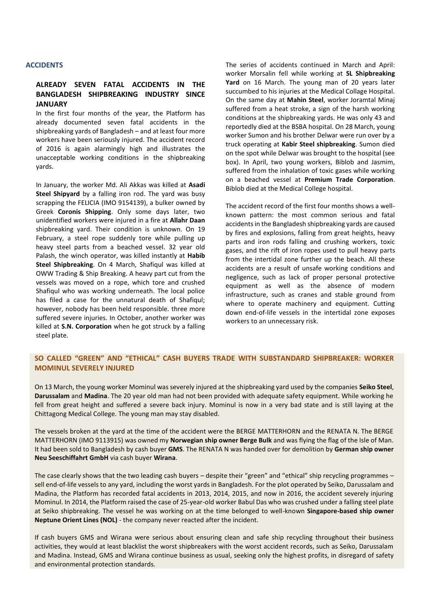#### **ACCIDENTS**

# **ALREADY SEVEN FATAL ACCIDENTS IN THE BANGLADESH SHIPBREAKING INDUSTRY SINCE JANUARY**

In the first four months of the year, the Platform has already documented seven fatal accidents in the shipbreaking yards of Bangladesh – and at least four more workers have been seriously injured. The accident record of 2016 is again alarmingly high and illustrates the unacceptable working conditions in the shipbreaking yards.

In January, the worker Md. Ali Akkas was killed at **Asadi Steel Shipyard** by a falling iron rod. The yard was busy scrapping the FELICIA (IMO 9154139), a bulker owned by Greek **Coronis Shipping**. Only some days later, two unidentified workers were injured in a fire at **Allahr Daan** shipbreaking yard. Their condition is unknown. On 19 February, a steel rope suddenly tore while pulling up heavy steel parts from a beached vessel. 32 year old Palash, the winch operator, was killed instantly at **Habib Steel Shipbreaking**. On 4 March, Shafiqul was killed at OWW Trading & Ship Breaking. A heavy part cut from the vessels was moved on a rope, which tore and crushed Shafiqul who was working underneath. The local police has filed a case for the unnatural death of Shafiqul; however, nobody has been held responsible. three more suffered severe injuries. In October, another worker was killed at **S.N. Corporation** when he got struck by a falling steel plate.

The series of accidents continued in March and April: worker Morsalin fell while working at **SL Shipbreaking**  Yard on 16 March. The young man of 20 years later succumbed to his injuries at the Medical Collage Hospital. On the same day at **Mahin Steel**, worker Joramtal Minaj suffered from a heat stroke, a sign of the harsh working conditions at the shipbreaking yards. He was only 43 and reportedly died at the BSBA hospital. On 28 March, young worker Sumon and his brother Delwar were run over by a truck operating at **Kabir Steel shipbreaking**. Sumon died on the spot while Delwar was brought to the hospital (see box). In April, two young workers, Biblob and Jasmim, suffered from the inhalation of toxic gases while working on a beached vessel at **Premium Trade Corporation**. Biblob died at the Medical College hospital.

The accident record of the first four months shows a wellknown pattern: the most common serious and fatal accidents in the Bangladesh shipbreaking yards are caused by fires and explosions, falling from great heights, heavy parts and iron rods falling and crushing workers, toxic gases, and the rift of iron ropes used to pull heavy parts from the intertidal zone further up the beach. All these accidents are a result of unsafe working conditions and negligence, such as lack of proper personal protective equipment as well as the absence of modern infrastructure, such as cranes and stable ground from where to operate machinery and equipment. Cutting down end-of-life vessels in the intertidal zone exposes workers to an unnecessary risk.

# **SO CALLED "GREEN" AND "ETHICAL" CASH BUYERS TRADE WITH SUBSTANDARD SHIPBREAKER: WORKER MOMINUL SEVERELY INJURED**

On 13 March, the young worker Mominul was severely injured at the shipbreaking yard used by the companies **Seiko Steel**, **Darussalam** and **Madina**. The 20 year old man had not been provided with adequate safety equipment. While working he fell from great height and suffered a severe back injury. Mominul is now in a very bad state and is still laying at the Chittagong Medical College. The young man may stay disabled.

The vessels broken at the yard at the time of the accident were the BERGE MATTERHORN and the RENATA N. The BERGE MATTERHORN (IMO 9113915) was owned my **Norwegian ship owner Berge Bulk** and was flying the flag of the Isle of Man. It had been sold to Bangladesh by cash buyer **GMS**. The RENATA N was handed over for demolition by **German ship owner Neu Seeschiffahrt GmbH** via cash buyer **Wirana**.

The case clearly shows that the two leading cash buyers – despite their "green" and "ethical" ship recycling programmes – sell end-of-life vessels to any yard, including the worst yards in Bangladesh. For the plot operated by Seiko, Darussalam and Madina, the Platform has recorded fatal accidents in 2013, 2014, 2015, and now in 2016, the accident severely injuring Mominul. In 2014, the Platform raised the case of 25-year-old worker Babul Das who was crushed under a falling steel plate at Seiko shipbreaking. The vessel he was working on at the time belonged to well-known **Singapore-based ship owner Neptune Orient Lines (NOL)** - the company never reacted after the incident.

If cash buyers GMS and Wirana were serious about ensuring clean and safe ship recycling throughout their business activities, they would at least blacklist the worst shipbreakers with the worst accident records, such as Seiko, Darussalam and Madina. Instead, GMS and Wirana continue business as usual, seeking only the highest profits, in disregard of safety and environmental protection standards.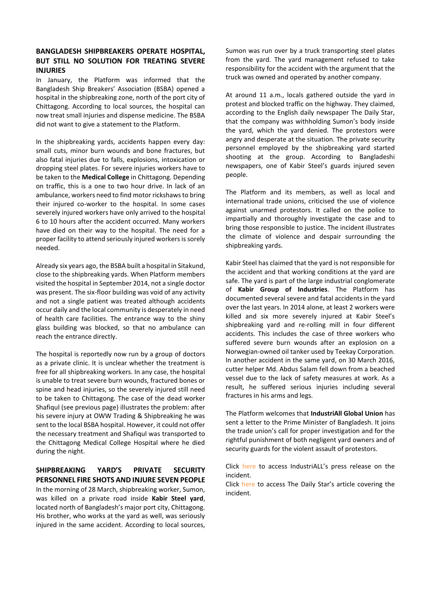# **BANGLADESH SHIPBREAKERS OPERATE HOSPITAL, BUT STILL NO SOLUTION FOR TREATING SEVERE INJURIES**

In January, the Platform was informed that the Bangladesh Ship Breakers' Association (BSBA) opened a hospital in the shipbreaking zone, north of the port city of Chittagong. According to local sources, the hospital can now treat small injuries and dispense medicine. The BSBA did not want to give a statement to the Platform.

In the shipbreaking yards, accidents happen every day: small cuts, minor burn wounds and bone fractures, but also fatal injuries due to falls, explosions, intoxication or dropping steel plates. For severe injuries workers have to be taken to the **Medical College** in Chittagong. Depending on traffic, this is a one to two hour drive. In lack of an ambulance, workers need to find motor rickshaws to bring their injured co-worker to the hospital. In some cases severely injured workers have only arrived to the hospital 6 to 10 hours after the accident occurred. Many workers have died on their way to the hospital. The need for a proper facility to attend seriously injured workers is sorely needed.

Already six years ago, the BSBA built a hospital in Sitakund, close to the shipbreaking yards. When Platform members visited the hospital in September 2014, not a single doctor was present. The six-floor building was void of any activity and not a single patient was treated although accidents occur daily and the local community is desperately in need of health care facilities. The entrance way to the shiny glass building was blocked, so that no ambulance can reach the entrance directly.

The hospital is reportedly now run by a group of doctors as a private clinic. It is unclear whether the treatment is free for all shipbreaking workers. In any case, the hospital is unable to treat severe burn wounds, fractured bones or spine and head injuries, so the severely injured still need to be taken to Chittagong. The case of the dead worker Shafiqul (see previous page) illustrates the problem: after his severe injury at OWW Trading & Shipbreaking he was sent to the local BSBA hospital. However, it could not offer the necessary treatment and Shafiqul was transported to the Chittagong Medical College Hospital where he died during the night.

**SHIPBREAKING YARD'S PRIVATE SECURITY PERSONNEL FIRE SHOTS AND INJURE SEVEN PEOPLE** In the morning of 28 March, shipbreaking worker, Sumon, was killed on a private road inside **Kabir Steel yard**, located north of Bangladesh's major port city, Chittagong. His brother, who works at the yard as well, was seriously injured in the same accident. According to local sources,

Sumon was run over by a truck transporting steel plates from the yard. The yard management refused to take responsibility for the accident with the argument that the truck was owned and operated by another company.

At around 11 a.m., locals gathered outside the yard in protest and blocked traffic on the highway. They claimed, according to the English daily newspaper The Daily Star, that the company was withholding Sumon's body inside the yard, which the yard denied. The protestors were angry and desperate at the situation. The private security personnel employed by the shipbreaking yard started shooting at the group. According to Bangladeshi newspapers, one of Kabir Steel's guards injured seven people.

The Platform and its members, as well as local and international trade unions, criticised the use of violence against unarmed protestors. It called on the police to impartially and thoroughly investigate the case and to bring those responsible to justice. The incident illustrates the climate of violence and despair surrounding the shipbreaking yards.

Kabir Steel has claimed that the yard is not responsible for the accident and that working conditions at the yard are safe. The yard is part of the large industrial conglomerate of **Kabir Group of Industries**. The Platform has documented several severe and fatal accidents in the yard over the last years. In 2014 alone, at least 2 workers were killed and six more severely injured at Kabir Steel's shipbreaking yard and re-rolling mill in four different accidents. This includes the case of three workers who suffered severe burn wounds after an explosion on a Norwegian-owned oil tanker used by Teekay Corporation. In another accident in the same yard, on 30 March 2016, cutter helper Md. Abdus Salam fell down from a beached vessel due to the lack of safety measures at work. As a result, he suffered serious injuries including several fractures in his arms and legs.

The Platform welcomes that **IndustriAll Global Union** has sent a letter to the Prime Minister of Bangladesh. It joins the trade union's call for proper investigation and for the rightful punishment of both negligent yard owners and of security guards for the violent assault of protestors.

Click [here](http://www.industriall-union.org/guards-open-fire-on-shipbreaking-workers-in-bangladesh) to access IndustriALL's press release on the incident.

Click [here](http://www.thedailystar.net/backpage/7-hurt-factory-guards-open-fire-protesters-1201078) to access The Daily Star's article covering the incident.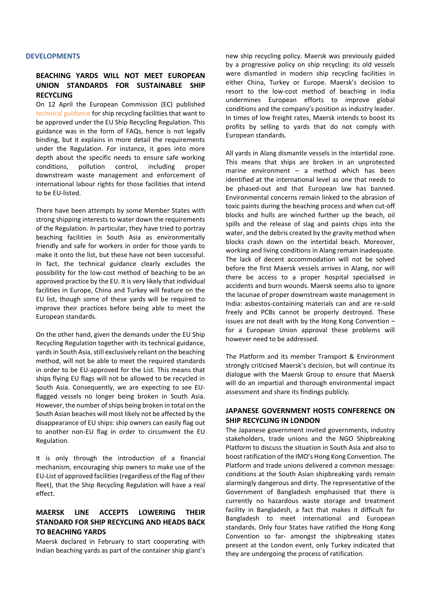#### **DEVELOPMENTS**

## **BEACHING YARDS WILL NOT MEET EUROPEAN UNION STANDARDS FOR SUSTAINABLE SHIP RECYCLING**

On 12 April the European Commission (EC) published [technical guidance](http://eur-lex.europa.eu/legal-content/EN/TXT/PDF/?uri=OJ:C:2016:128:FULL&from=EN) for ship recycling facilities that want to be approved under the EU Ship Recycling Regulation. This guidance was in the form of FAQs, hence is not legally binding, but it explains in more detail the requirements under the Regulation. For instance, it goes into more depth about the specific needs to ensure safe working conditions, pollution control, including proper downstream waste management and enforcement of international labour rights for those facilities that intend to be EU-listed.

There have been attempts by some Member States with strong shipping interests to water down the requirements of the Regulation. In particular, they have tried to portray beaching facilities in South Asia as environmentally friendly and safe for workers in order for those yards to make it onto the list, but these have not been successful. In fact, the technical guidance clearly excludes the possibility for the low-cost method of beaching to be an approved practice by the EU. It is very likely that individual facilities in Europe, China and Turkey will feature on the EU list, though some of these yards will be required to improve their practices before being able to meet the European standards.

On the other hand, given the demands under the EU Ship Recycling Regulation together with its technical guidance, yards in South Asia, still exclusively reliant on the beaching method, will not be able to meet the required standards in order to be EU-approved for the List. This means that ships flying EU flags will not be allowed to be recycled in South Asia. Consequently, we are expecting to see EUflagged vessels no longer being broken in South Asia. However, the number of ships being broken in total on the South Asian beaches will most likely not be affected by the disappearance of EU ships: ship owners can easily flag out to another non-EU flag in order to circumvent the EU Regulation.

It is only through the introduction of a financial mechanism, encouraging ship owners to make use of the EU-List of approved facilities (regardless of the flag of their fleet), that the Ship Recycling Regulation will have a real effect.

## **MAERSK LINE ACCEPTS LOWERING THEIR STANDARD FOR SHIP RECYCLING AND HEADS BACK TO BEACHING YARDS**

Maersk declared in February to start cooperating with Indian beaching yards as part of the container ship giant's new ship recycling policy. Maersk was previously guided by a progressive policy on ship recycling: its old vessels were dismantled in modern ship recycling facilities in either China, Turkey or Europe. Maersk's decision to resort to the low-cost method of beaching in India undermines European efforts to improve global conditions and the company's position as industry leader. In times of low freight rates, Maersk intends to boost its profits by selling to yards that do not comply with European standards.

All yards in Alang dismantle vessels in the intertidal zone. This means that ships are broken in an unprotected marine environment – a method which has been identified at the international level as one that needs to be phased-out and that European law has banned. Environmental concerns remain linked to the abrasion of toxic paints during the beaching process and when cut-off blocks and hulls are winched further up the beach, oil spills and the release of slag and paints chips into the water, and the debris created by the gravity method when blocks crash down on the intertidal beach. Moreover, working and living conditions in Alang remain inadequate. The lack of decent accommodation will not be solved before the first Maersk vessels arrives in Alang, nor will there be access to a proper hospital specialised in accidents and burn wounds. Maersk seems also to ignore the lacunae of proper downstream waste management in India: asbestos-containing materials can and are re-sold freely and PCBs cannot be properly destroyed. These issues are not dealt with by the Hong Kong Convention – for a European Union approval these problems will however need to be addressed.

The Platform and its member Transport & Environment strongly criticised Maersk's decision, but will continue its dialogue with the Maersk Group to ensure that Maersk will do an impartial and thorough environmental impact assessment and share its findings publicly.

## **JAPANESE GOVERNMENT HOSTS CONFERENCE ON SHIP RECYCLING IN LONDON**

The Japanese government invited governments, industry stakeholders, trade unions and the NGO Shipbreaking Platform to discuss the situation in South Asia and also to boost ratification of the IMO's Hong Kong Convention. The Platform and trade unions delivered a common message: conditions at the South Asian shipbreaking yards remain alarmingly dangerous and dirty. The representative of the Government of Bangladesh emphasised that there is currently no hazardous waste storage and treatment facility in Bangladesh, a fact that makes it difficult for Bangladesh to meet international and European standards. Only four States have ratified the Hong Kong Convention so far- amongst the shipbreaking states present at the London event, only Turkey indicated that they are undergoing the process of ratification.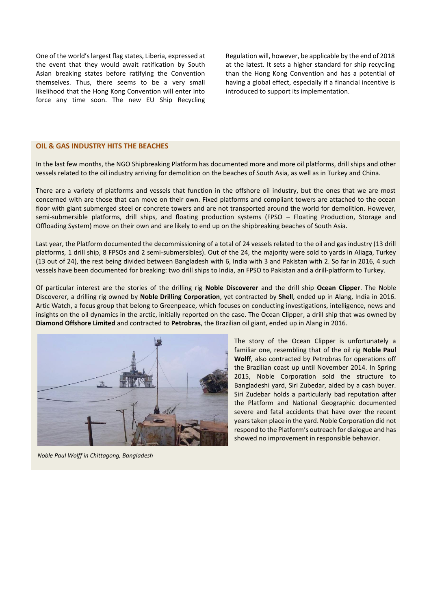One of the world's largest flag states, Liberia, expressed at the event that they would await ratification by South Asian breaking states before ratifying the Convention themselves. Thus, there seems to be a very small likelihood that the Hong Kong Convention will enter into force any time soon. The new EU Ship Recycling Regulation will, however, be applicable by the end of 2018 at the latest. It sets a higher standard for ship recycling than the Hong Kong Convention and has a potential of having a global effect, especially if a financial incentive is introduced to support its implementation.

#### **OIL & GAS INDUSTRY HITS THE BEACHES**

In the last few months, the NGO Shipbreaking Platform has documented more and more oil platforms, drill ships and other vessels related to the oil industry arriving for demolition on the beaches of South Asia, as well as in Turkey and China.

There are a variety of platforms and vessels that function in the offshore oil industry, but the ones that we are most concerned with are those that can move on their own. Fixed platforms and compliant towers are attached to the ocean floor with giant submerged steel or concrete towers and are not transported around the world for demolition. However, semi-submersible platforms, drill ships, and floating production systems (FPSO – Floating Production, Storage and Offloading System) move on their own and are likely to end up on the shipbreaking beaches of South Asia.

Last year, the Platform documented the decommissioning of a total of 24 vessels related to the oil and gas industry (13 drill platforms, 1 drill ship, 8 FPSOs and 2 semi-submersibles). Out of the 24, the majority were sold to yards in Aliaga, Turkey (13 out of 24), the rest being divided between Bangladesh with 6, India with 3 and Pakistan with 2. So far in 2016, 4 such vessels have been documented for breaking: two drill ships to India, an FPSO to Pakistan and a drill-platform to Turkey.

Of particular interest are the stories of the drilling rig **Noble Discoverer** and the drill ship **Ocean Clipper**. The Noble Discoverer, a drilling rig owned by **Noble Drilling Corporation**, yet contracted by **Shell**, ended up in Alang, India in 2016. Artic Watch, a focus group that belong to Greenpeace, which focuses on conducting investigations, intelligence, news and insights on the oil dynamics in the arctic, initially reported on the case. The Ocean Clipper, a drill ship that was owned by **Diamond Offshore Limited** and contracted to **Petrobras**, the Brazilian oil giant, ended up in Alang in 2016.



*Noble Paul Wolff in Chittagong, Bangladesh*

The story of the Ocean Clipper is unfortunately a familiar one, resembling that of the oil rig **Noble Paul Wolff**, also contracted by Petrobras for operations off the Brazilian coast up until November 2014. In Spring 2015, Noble Corporation sold the structure to Bangladeshi yard, Siri Zubedar, aided by a cash buyer. Siri Zudebar holds a particularly bad reputation after the Platform and National Geographic documented severe and fatal accidents that have over the recent years taken place in the yard. Noble Corporation did not respond to the Platform's outreach for dialogue and has showed no improvement in responsible behavior.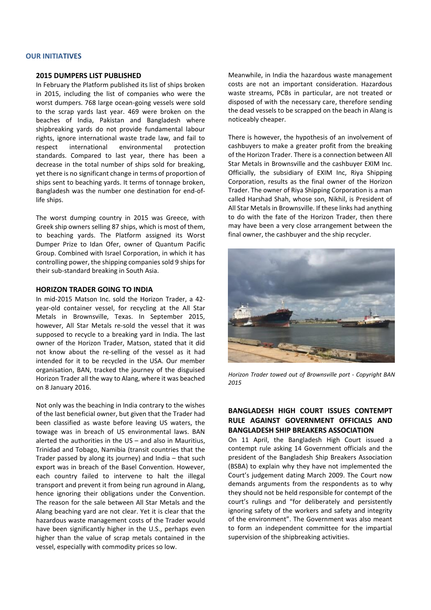#### **OUR INITIATIVES**

### **2015 DUMPERS LIST PUBLISHED**

In February the Platform published its list of ships broken in 2015, including the list of companies who were the worst dumpers. 768 large ocean-going vessels were sold to the scrap yards last year. 469 were broken on the beaches of India, Pakistan and Bangladesh where shipbreaking yards do not provide fundamental labour rights, ignore international waste trade law, and fail to respect international environmental protection standards. Compared to last year, there has been a decrease in the total number of ships sold for breaking, yet there is no significant change in terms of proportion of ships sent to beaching yards. It terms of tonnage broken, Bangladesh was the number one destination for end-oflife ships.

The worst dumping country in 2015 was Greece, with Greek ship owners selling 87 ships, which is most of them, to beaching yards. The Platform assigned its Worst Dumper Prize to Idan Ofer, owner of Quantum Pacific Group. Combined with Israel Corporation, in which it has controlling power, the shipping companies sold 9 ships for their sub-standard breaking in South Asia.

#### **HORIZON TRADER GOING TO INDIA**

In mid-2015 Matson Inc. sold the Horizon Trader, a 42 year-old container vessel, for recycling at the All Star Metals in Brownsville, Texas. In September 2015, however, All Star Metals re-sold the vessel that it was supposed to recycle to a breaking yard in India. The last owner of the Horizon Trader, Matson, stated that it did not know about the re-selling of the vessel as it had intended for it to be recycled in the USA. Our member organisation, BAN, tracked the journey of the disguised Horizon Trader all the way to Alang, where it was beached on 8 January 2016.

Not only was the beaching in India contrary to the wishes of the last beneficial owner, but given that the Trader had been classified as waste before leaving US waters, the towage was in breach of US environmental laws. BAN alerted the authorities in the US – and also in Mauritius, Trinidad and Tobago, Namibia (transit countries that the Trader passed by along its journey) and India – that such export was in breach of the Basel Convention. However, each country failed to intervene to halt the illegal transport and prevent it from being run aground in Alang, hence ignoring their obligations under the Convention. The reason for the sale between All Star Metals and the Alang beaching yard are not clear. Yet it is clear that the hazardous waste management costs of the Trader would have been significantly higher in the U.S., perhaps even higher than the value of scrap metals contained in the vessel, especially with commodity prices so low.

Meanwhile, in India the hazardous waste management costs are not an important consideration. Hazardous waste streams, PCBs in particular, are not treated or disposed of with the necessary care, therefore sending the dead vessels to be scrapped on the beach in Alang is noticeably cheaper.

There is however, the hypothesis of an involvement of cashbuyers to make a greater profit from the breaking of the Horizon Trader. There is a connection between All Star Metals in Brownsville and the cashbuyer EXIM Inc. Officially, the subsidiary of EXIM Inc, Riya Shipping Corporation, results as the final owner of the Horizon Trader. The owner of Riya Shipping Corporation is a man called Harshad Shah, whose son, Nikhil, is President of All Star Metals in Brownsville. If these links had anything to do with the fate of the Horizon Trader, then there may have been a very close arrangement between the final owner, the cashbuyer and the ship recycler.



*Horizon Trader towed out of Brownsville port - Copyright BAN 2015*

# **BANGLADESH HIGH COURT ISSUES CONTEMPT RULE AGAINST GOVERNMENT OFFICIALS AND BANGLADESH SHIP BREAKERS ASSOCIATION**

On 11 April, the Bangladesh High Court issued a contempt rule asking 14 Government officials and the president of the Bangladesh Ship Breakers Association (BSBA) to explain why they have not implemented the Court's judgement dating March 2009. The Court now demands arguments from the respondents as to why they should not be held responsible for contempt of the court's rulings and "for deliberately and persistently ignoring safety of the workers and safety and integrity of the environment". The Government was also meant to form an independent committee for the impartial supervision of the shipbreaking activities.